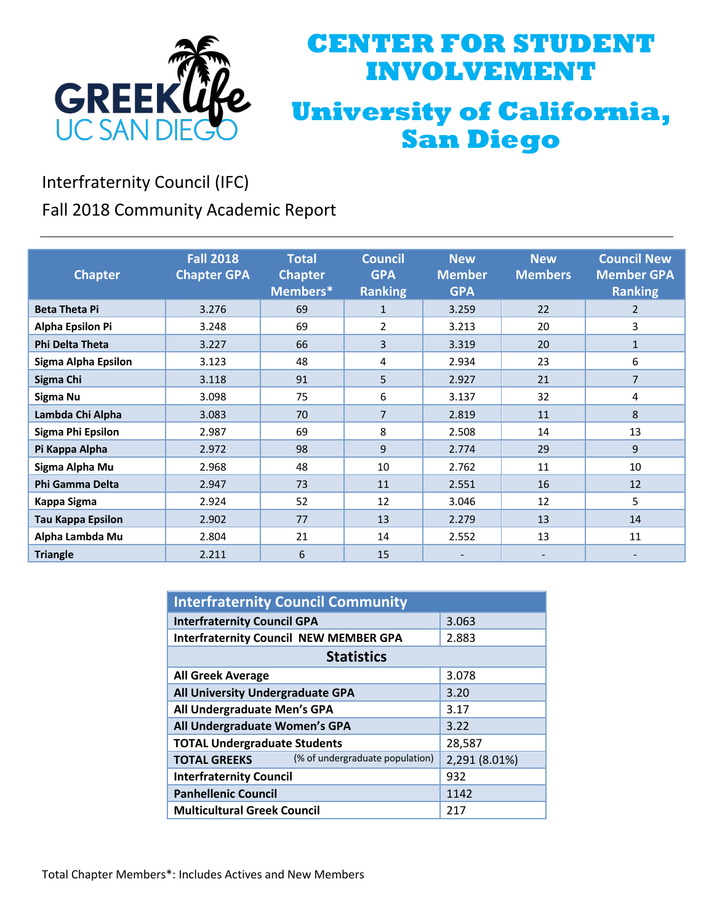

## **CENTER FOR STUDENT INVOLVEMENT University of California, San Diego**

Interfraternity Council (IFC)

Fall 2018 Community Academic Report

|                          | <b>Fall 2018</b>   | <b>Total</b>   | <b>Council</b> | <b>New</b>    | <b>New</b>     | <b>Council New</b> |
|--------------------------|--------------------|----------------|----------------|---------------|----------------|--------------------|
|                          |                    |                |                |               |                |                    |
| <b>Chapter</b>           | <b>Chapter GPA</b> | <b>Chapter</b> | <b>GPA</b>     | <b>Member</b> | <b>Members</b> | <b>Member GPA</b>  |
|                          |                    | Members*       | <b>Ranking</b> | <b>GPA</b>    |                | <b>Ranking</b>     |
| <b>Beta Theta Pi</b>     | 3.276              | 69             | $\mathbf{1}$   | 3.259         | 22             | $\overline{2}$     |
| <b>Alpha Epsilon Pi</b>  | 3.248              | 69             | $\overline{2}$ | 3.213         | 20             | 3                  |
| <b>Phi Delta Theta</b>   | 3.227              | 66             | 3              | 3.319         | 20             | $\mathbf{1}$       |
| Sigma Alpha Epsilon      | 3.123              | 48             | 4              | 2.934         | 23             | 6                  |
| Sigma Chi                | 3.118              | 91             | 5              | 2.927         | 21             | 7                  |
| Sigma Nu                 | 3.098              | 75             | 6              | 3.137         | 32             | 4                  |
| Lambda Chi Alpha         | 3.083              | 70             | $\overline{7}$ | 2.819         | 11             | 8                  |
| Sigma Phi Epsilon        | 2.987              | 69             | 8              | 2.508         | 14             | 13                 |
| Pi Kappa Alpha           | 2.972              | 98             | 9              | 2.774         | 29             | 9                  |
| Sigma Alpha Mu           | 2.968              | 48             | 10             | 2.762         | 11             | 10                 |
| Phi Gamma Delta          | 2.947              | 73             | 11             | 2.551         | 16             | 12                 |
| Kappa Sigma              | 2.924              | 52             | 12             | 3.046         | 12             | 5                  |
| <b>Tau Kappa Epsilon</b> | 2.902              | 77             | 13             | 2.279         | 13             | 14                 |
| Alpha Lambda Mu          | 2.804              | 21             | 14             | 2.552         | 13             | 11                 |
| <b>Triangle</b>          | 2.211              | 6              | 15             |               |                |                    |

| <b>Interfraternity Council Community</b>               |               |  |  |  |
|--------------------------------------------------------|---------------|--|--|--|
| <b>Interfraternity Council GPA</b>                     | 3.063         |  |  |  |
| <b>Interfraternity Council NEW MEMBER GPA</b>          | 2.883         |  |  |  |
| <b>Statistics</b>                                      |               |  |  |  |
| <b>All Greek Average</b>                               | 3.078         |  |  |  |
| All University Undergraduate GPA                       | 3.20          |  |  |  |
| All Undergraduate Men's GPA                            | 3.17          |  |  |  |
| All Undergraduate Women's GPA                          | 3.22          |  |  |  |
| <b>TOTAL Undergraduate Students</b>                    | 28,587        |  |  |  |
| (% of undergraduate population)<br><b>TOTAL GREEKS</b> | 2,291 (8.01%) |  |  |  |
| <b>Interfraternity Council</b>                         | 932           |  |  |  |
| <b>Panhellenic Council</b>                             | 1142          |  |  |  |
| <b>Multicultural Greek Council</b>                     | 217           |  |  |  |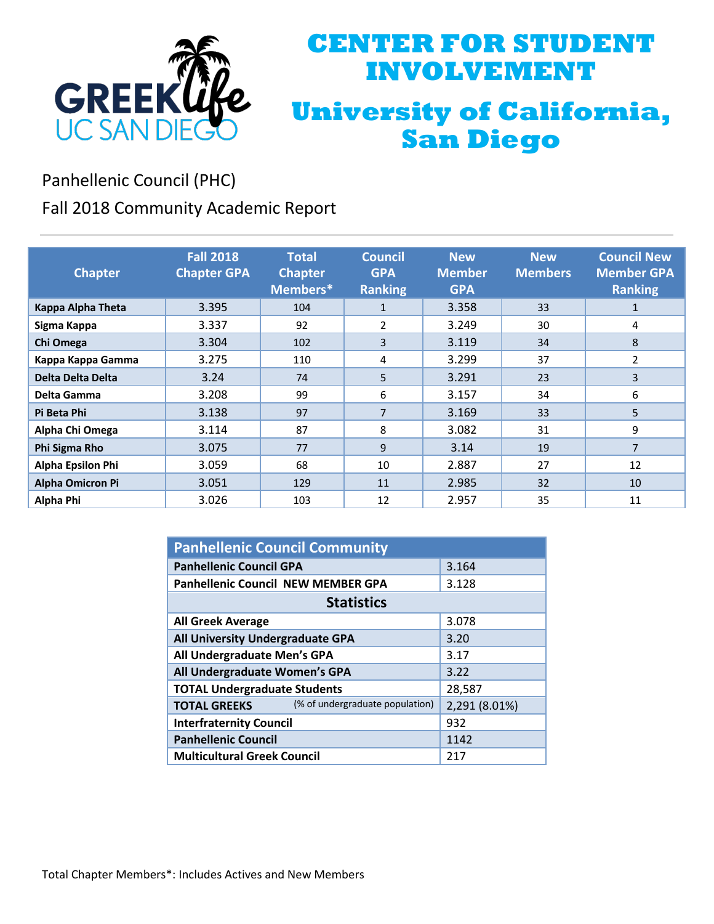

## **CENTER FOR STUDENT INVOLVEMENT University of California, San Diego**

Panhellenic Council (PHC)

Fall 2018 Community Academic Report

| <b>Chapter</b>           | <b>Fall 2018</b><br><b>Chapter GPA</b> | <b>Total</b><br><b>Chapter</b><br>Members* | <b>Council</b><br><b>GPA</b><br><b>Ranking</b> | <b>New</b><br><b>Member</b><br><b>GPA</b> | <b>New</b><br><b>Members</b> | <b>Council New</b><br><b>Member GPA</b><br><b>Ranking</b> |
|--------------------------|----------------------------------------|--------------------------------------------|------------------------------------------------|-------------------------------------------|------------------------------|-----------------------------------------------------------|
| Kappa Alpha Theta        | 3.395                                  | 104                                        | $\mathbf{1}$                                   | 3.358                                     | 33                           | 1                                                         |
| Sigma Kappa              | 3.337                                  | 92                                         | 2                                              | 3.249                                     | 30                           | 4                                                         |
| Chi Omega                | 3.304                                  | 102                                        | 3                                              | 3.119                                     | 34                           | 8                                                         |
| Kappa Kappa Gamma        | 3.275                                  | 110                                        | 4                                              | 3.299                                     | 37                           | 2                                                         |
| Delta Delta Delta        | 3.24                                   | 74                                         | 5                                              | 3.291                                     | 23                           | 3                                                         |
| Delta Gamma              | 3.208                                  | 99                                         | 6                                              | 3.157                                     | 34                           | 6                                                         |
| Pi Beta Phi              | 3.138                                  | 97                                         | $\overline{7}$                                 | 3.169                                     | 33                           | 5                                                         |
| Alpha Chi Omega          | 3.114                                  | 87                                         | 8                                              | 3.082                                     | 31                           | 9                                                         |
| Phi Sigma Rho            | 3.075                                  | 77                                         | 9                                              | 3.14                                      | 19                           | 7                                                         |
| <b>Alpha Epsilon Phi</b> | 3.059                                  | 68                                         | 10                                             | 2.887                                     | 27                           | 12                                                        |
| <b>Alpha Omicron Pi</b>  | 3.051                                  | 129                                        | 11                                             | 2.985                                     | 32                           | 10                                                        |
| Alpha Phi                | 3.026                                  | 103                                        | 12                                             | 2.957                                     | 35                           | 11                                                        |

| <b>Panhellenic Council Community</b>                   |               |  |  |  |
|--------------------------------------------------------|---------------|--|--|--|
| <b>Panhellenic Council GPA</b>                         | 3.164         |  |  |  |
| <b>Panhellenic Council NEW MEMBER GPA</b>              | 3.128         |  |  |  |
| <b>Statistics</b>                                      |               |  |  |  |
| <b>All Greek Average</b>                               | 3.078         |  |  |  |
| All University Undergraduate GPA                       | 3.20          |  |  |  |
| All Undergraduate Men's GPA                            | 3.17          |  |  |  |
| All Undergraduate Women's GPA                          | 3.22          |  |  |  |
| <b>TOTAL Undergraduate Students</b>                    | 28,587        |  |  |  |
| (% of undergraduate population)<br><b>TOTAL GREEKS</b> | 2,291 (8.01%) |  |  |  |
| <b>Interfraternity Council</b>                         | 932           |  |  |  |
| <b>Panhellenic Council</b>                             | 1142          |  |  |  |
| <b>Multicultural Greek Council</b>                     | 217           |  |  |  |